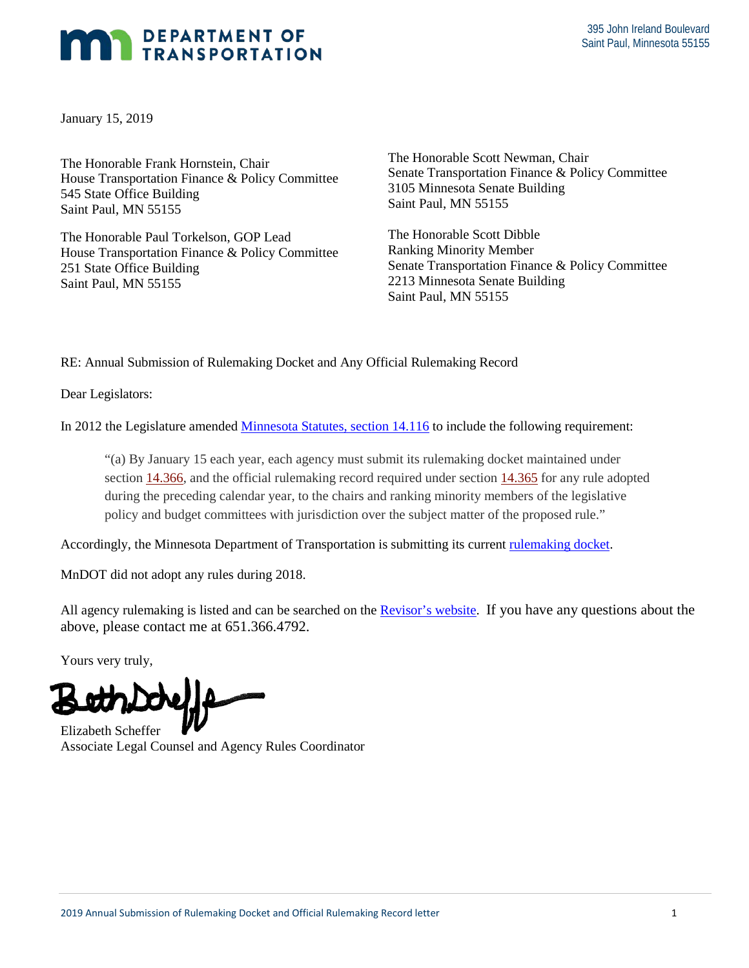## DEPARTMENT OF TRANSPORTATION

January 15, 2019

The Honorable Frank Hornstein, Chair Saint Paul, MN 55155 3105 Minnesota Senate Building<br>
545 State Office Building<br>
Saint Paul, MN 55155<br>
The Honorable Paul Torkelson, GOP Lead<br>
The Honorable Scott Dibble<br>
House Transportation Finance & Policy Committee<br>
Ranking Minority Member

The Honorable Paul Torkelson, GOP Lead

The Honorable Scott Newman, Chair 3105 Minnesota Senate Building The Honorable Framm Hornstein, Chair Senate Transportation Finance & Policy Committee Senate Transportation Finance & Policy Committee

The Honorable Scott Dibble Saint Paul, MN 55155<br>
2213 Minnesota Senate Building<br>
Saint Paul, MN 55155 251 State Office Building Senate Transportation Finance & Policy Committee<br>Saint Paul, MN 55155 2213 Minnesota Senate Building

RE: Annual Submission of Rulemaking Docket and Any Official Rulemaking Record

Dear Legislators:

In 2012 the Legislature amended *Minnesota Statutes, section 14.116* to include the following requirement:

 during the preceding calendar year, to the chairs and ranking minority members of the legislative "(a) By January 15 each year, each agency must submit its rulemaking docket maintained under section 14.366, and the official rulemaking record required under section 14.365 for any rule adopted policy and budget committees with jurisdiction over the subject matter of the proposed rule."

Accordingly, the Minnesota Department of Transportation is submitting its current rulemaking docket.

MnDOT did not adopt any rules during 2018.

All agency rulemaking is listed and can be searched on the **Revisor's website**. If you have any questions about the above, please contact me at 651.366.4792.

Yours very truly,

Associate Legal Counsel and Agency Rules Coordinator Elizabeth Scheffer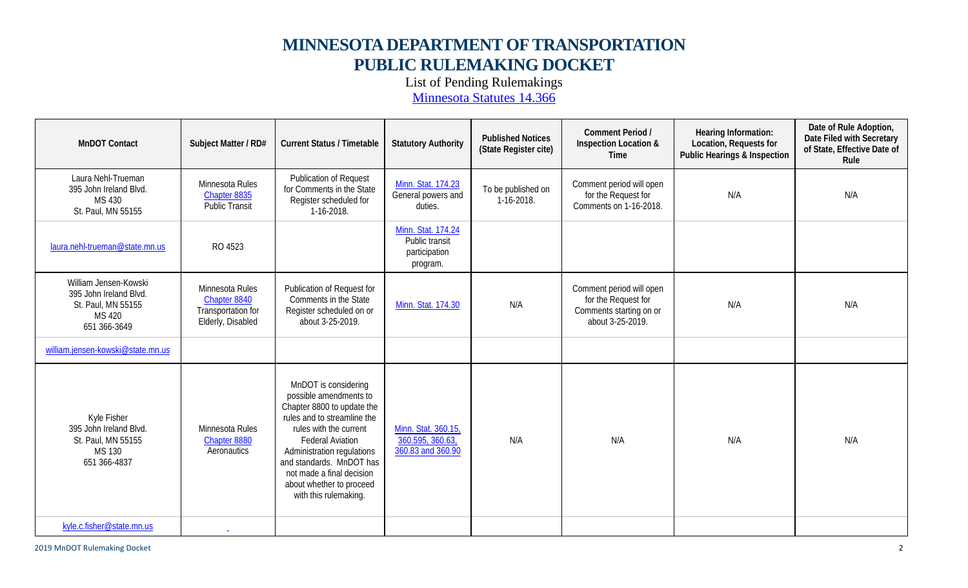## **MINNESOTA DEPARTMENT OF TRANSPORTATION PUBLIC RULEMAKING DOCKET**

List of Pending Rulemakings

Minnesota Statutes 14.366

| <b>MnDOT Contact</b>                                                                                   | Subject Matter / RD#                                                       | <b>Current Status / Timetable</b>                                                                                                                                                                                                                                                                            | <b>Statutory Authority</b>                                        | <b>Published Notices</b><br>(State Register cite) | Comment Period /<br>Inspection Location &<br>Time                                              | Hearing Information:<br>Location, Requests for<br><b>Public Hearings &amp; Inspection</b> | Date of Rule Adoption,<br>Date Filed with Secretary<br>of State, Effective Date of<br>Rule |
|--------------------------------------------------------------------------------------------------------|----------------------------------------------------------------------------|--------------------------------------------------------------------------------------------------------------------------------------------------------------------------------------------------------------------------------------------------------------------------------------------------------------|-------------------------------------------------------------------|---------------------------------------------------|------------------------------------------------------------------------------------------------|-------------------------------------------------------------------------------------------|--------------------------------------------------------------------------------------------|
| Laura Nehl-Trueman<br>395 John Ireland Blvd.<br>MS 430<br>St. Paul, MN 55155                           | Minnesota Rules<br>Chapter 8835<br><b>Public Transit</b>                   | <b>Publication of Request</b><br>for Comments in the State<br>Register scheduled for<br>1-16-2018.                                                                                                                                                                                                           | Minn. Stat. 174.23<br>General powers and<br>duties.               | To be published on<br>1-16-2018.                  | Comment period will open<br>for the Request for<br>Comments on 1-16-2018.                      | N/A                                                                                       | N/A                                                                                        |
| laura.nehl-trueman@state.mn.us                                                                         | RO 4523                                                                    |                                                                                                                                                                                                                                                                                                              | Minn. Stat. 174.24<br>Public transit<br>participation<br>program. |                                                   |                                                                                                |                                                                                           |                                                                                            |
| William Jensen-Kowski<br>395 John Ireland Blvd.<br>St. Paul, MN 55155<br><b>MS 420</b><br>651 366-3649 | Minnesota Rules<br>Chapter 8840<br>Transportation for<br>Elderly, Disabled | Publication of Request for<br>Comments in the State<br>Register scheduled on or<br>about 3-25-2019.                                                                                                                                                                                                          | Minn. Stat. 174.30                                                | N/A                                               | Comment period will open<br>for the Request for<br>Comments starting on or<br>about 3-25-2019. | N/A                                                                                       | N/A                                                                                        |
| william.jensen-kowski@state.mn.us                                                                      |                                                                            |                                                                                                                                                                                                                                                                                                              |                                                                   |                                                   |                                                                                                |                                                                                           |                                                                                            |
| Kyle Fisher<br>395 John Ireland Blvd.<br>St. Paul, MN 55155<br>MS 130<br>651 366-4837                  | Minnesota Rules<br>Chapter 8880<br>Aeronautics                             | MnDOT is considering<br>possible amendments to<br>Chapter 8800 to update the<br>rules and to streamline the<br>rules with the current<br><b>Federal Aviation</b><br>Administration regulations<br>and standards. MnDOT has<br>not made a final decision<br>about whether to proceed<br>with this rulemaking. | Minn. Stat. 360.15,<br>360.595, 360.63,<br>360.83 and 360.90      | N/A                                               | N/A                                                                                            | N/A                                                                                       | N/A                                                                                        |
| kyle.c.fisher@state.mn.us                                                                              |                                                                            |                                                                                                                                                                                                                                                                                                              |                                                                   |                                                   |                                                                                                |                                                                                           |                                                                                            |